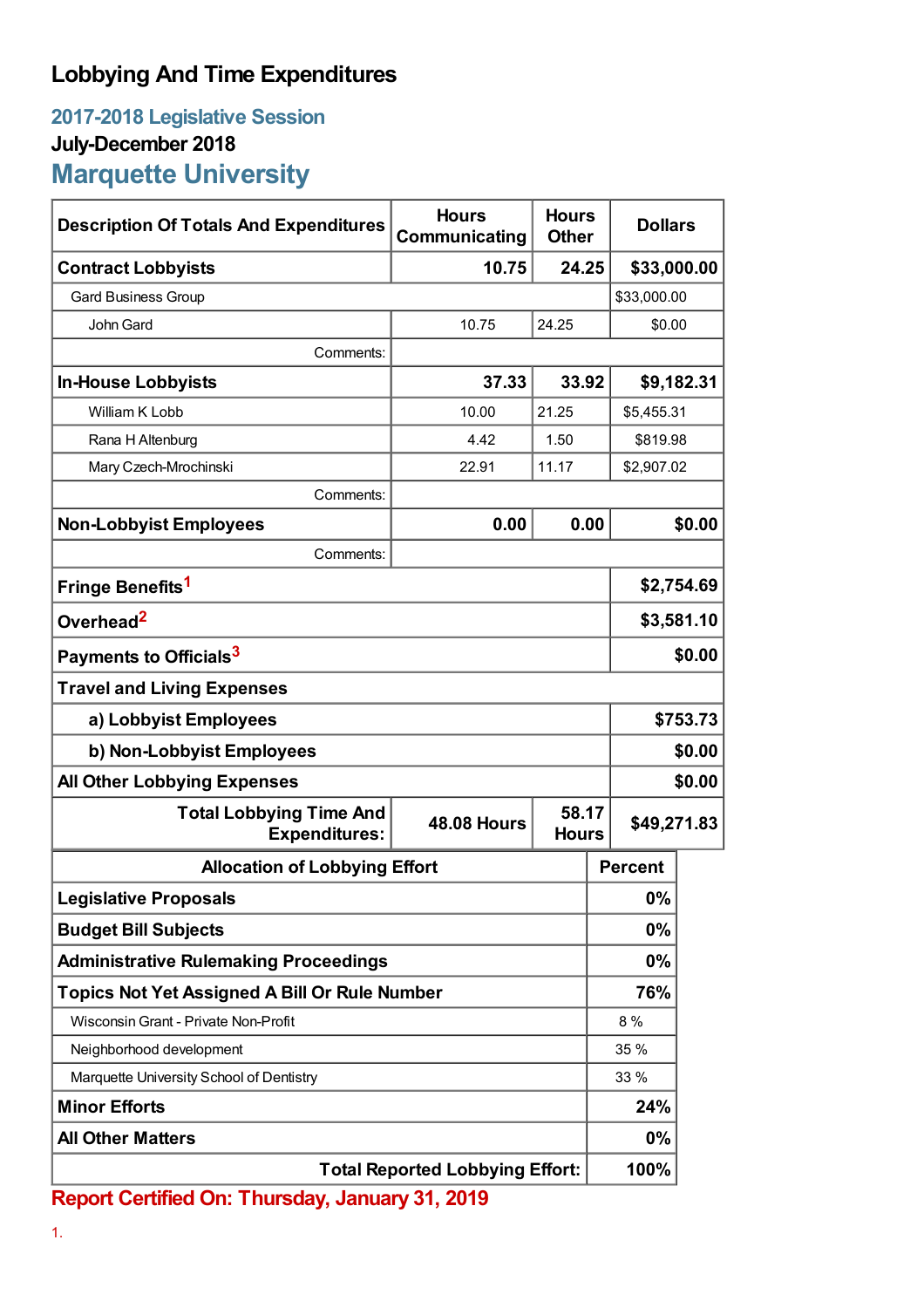## **Lobbying And Time Expenditures**

## **2017-2018 Legislative Session July-December 2018 Marquette University**

| <b>Description Of Totals And Expenditures</b>          | <b>Hours</b><br>Communicating | <b>Hours</b><br><b>Other</b> |                | <b>Dollars</b> |  |
|--------------------------------------------------------|-------------------------------|------------------------------|----------------|----------------|--|
| <b>Contract Lobbyists</b>                              | 10.75                         | 24.25                        |                | \$33,000.00    |  |
| <b>Gard Business Group</b>                             |                               |                              |                | \$33,000.00    |  |
| John Gard                                              | 10.75                         | 24.25                        | \$0.00         |                |  |
| Comments:                                              |                               |                              |                |                |  |
| <b>In-House Lobbyists</b>                              | 37.33                         | 33.92                        |                | \$9,182.31     |  |
| William K Lobb                                         | 10.00                         | 21.25                        |                | \$5,455.31     |  |
| Rana H Altenburg                                       | 4.42                          | 1.50                         |                | \$819.98       |  |
| Mary Czech-Mrochinski                                  | 22.91                         | 11.17                        |                | \$2,907.02     |  |
| Comments:                                              |                               |                              |                |                |  |
| <b>Non-Lobbyist Employees</b>                          | 0.00                          | 0.00                         |                | \$0.00         |  |
| Comments:                                              |                               |                              |                |                |  |
| Fringe Benefits <sup>1</sup>                           |                               |                              |                | \$2,754.69     |  |
| Overhead <sup>2</sup>                                  |                               |                              |                | \$3,581.10     |  |
| Payments to Officials <sup>3</sup>                     |                               |                              |                | \$0.00         |  |
| <b>Travel and Living Expenses</b>                      |                               |                              |                |                |  |
| a) Lobbyist Employees                                  |                               |                              |                | \$753.73       |  |
| b) Non-Lobbyist Employees                              |                               |                              |                | \$0.00         |  |
| <b>All Other Lobbying Expenses</b>                     |                               |                              | \$0.00         |                |  |
| <b>Total Lobbying Time And</b><br><b>Expenditures:</b> | <b>48.08 Hours</b>            | 58.17<br><b>Hours</b>        |                | \$49,271.83    |  |
| <b>Allocation of Lobbying Effort</b>                   |                               |                              | <b>Percent</b> |                |  |
| <b>Legislative Proposals</b>                           |                               |                              | 0%             |                |  |
| <b>Budget Bill Subjects</b>                            |                               |                              | 0%             |                |  |
| <b>Administrative Rulemaking Proceedings</b>           |                               |                              | 0%             |                |  |
| <b>Topics Not Yet Assigned A Bill Or Rule Number</b>   |                               |                              | 76%            |                |  |
| Wisconsin Grant - Private Non-Profit                   |                               |                              | 8 %            |                |  |
| Neighborhood development                               |                               |                              | 35 %           |                |  |
| Marquette University School of Dentistry               |                               | 33 %                         |                |                |  |
| <b>Minor Efforts</b>                                   |                               |                              | 24%            |                |  |
| <b>All Other Matters</b>                               |                               |                              | 0%             |                |  |
| <b>Total Reported Lobbying Effort:</b>                 |                               |                              | 100%           |                |  |

**Report Certified On: Thursday, January 31, 2019**